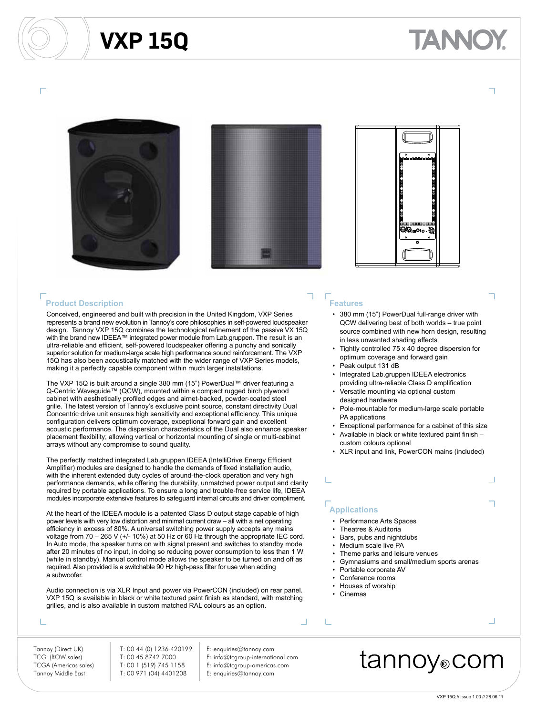### **VXP 15Q**

# ANNO







#### **Product Description**

Conceived, engineered and built with precision in the United Kingdom, VXP Series represents a brand new evolution in Tannoy's core philosophies in self-powered loudspeaker design. Tannoy VXP 15Q combines the technological refinement of the passive VX 15Q with the brand new IDEEA™ integrated power module from Lab.gruppen. The result is an ultra-reliable and efficient, self-powered loudspeaker offering a punchy and sonically superior solution for medium-large scale high performance sound reinforcement. The VXP 15Q has also been acoustically matched with the wider range of VXP Series models, making it a perfectly capable component within much larger installations.

The VXP 15Q is built around a single 380 mm (15") PowerDual™ driver featuring a Q-Centric Waveguide™ (QCW), mounted within a compact rugged birch plywood cabinet with aesthetically profiled edges and airnet-backed, powder-coated steel grille. The latest version of Tannoy's exclusive point source, constant directivity Dual Concentric drive unit ensures high sensitivity and exceptional efficiency. This unique configuration delivers optimum coverage, exceptional forward gain and excellent acoustic performance. The dispersion characteristics of the Dual also enhance speaker placement flexibility; allowing vertical or horizontal mounting of single or multi-cabinet arrays without any compromise to sound quality.

The perfectly matched integrated Lab.gruppen IDEEA (IntelliDrive Energy Efficient Amplifier) modules are designed to handle the demands of fixed installation audio, with the inherent extended duty cycles of around-the-clock operation and very high performance demands, while offering the durability, unmatched power output and clarity required by portable applications. To ensure a long and trouble-free service life, IDEEA modules incorporate extensive features to safeguard internal circuits and driver compliment.

At the heart of the IDEEA module is a patented Class D output stage capable of high power levels with very low distortion and minimal current draw – all with a net operating efficiency in excess of 80%. A universal switching power supply accepts any mains voltage from 70 – 265 V (+/- 10%) at 50 Hz or 60 Hz through the appropriate IEC cord. In Auto mode, the speaker turns on with signal present and switches to standby mode after 20 minutes of no input, in doing so reducing power consumption to less than 1 W (while in standby). Manual control mode allows the speaker to be turned on and off as required. Also provided is a switchable 90 Hz high-pass filter for use when adding a subwoofer.

Audio connection is via XLR Input and power via PowerCON (included) on rear panel. VXP 15Q is available in black or white textured paint finish as standard, with matching grilles, and is also available in custom matched RAL colours as an option.

#### Т

Tannoy (Direct UK) T: 00 44 (0) 1236 420199 E: enquiries@tannoy.com TCGI (ROW sales) T: 00 45 8742 7000 E: info@tcgroup-international.com Tannoy Middle East T: 00 971 (04) 4401208 E: enquiries@tannoy.com

- 
- TCGA (Americas sales) T: 00 1 (519) 745 1158 E: info@tcgroup-americas.com
	-

#### **Features**

- 380 mm (15") PowerDual full-range driver with QCW delivering best of both worlds – true point source combined with new horn design, resulting in less unwanted shading effects
- Tightly controlled 75 x 40 degree dispersion for optimum coverage and forward gain
- Peak output 131 dB
- Integrated Lab.gruppen IDEEA electronics providing ultra-reliable Class D amplification
- Versatile mounting via optional custom designed hardware
- Pole-mountable for medium-large scale portable PA applications
- Exceptional performance for a cabinet of this size
- Available in black or white textured paint finish custom colours optional
- XLR input and link, PowerCON mains (included)

### **Applications**

- Performance Arts Spaces
- Theatres & Auditoria
- Bars, pubs and nightclubs
- Medium scale live PA
- Theme parks and leisure venues
- Gymnasiums and small/medium sports arenas
- Portable corporate AV
- Conference rooms
- Houses of worship
- Cinemas

L

### tannoy⊚com

Ц